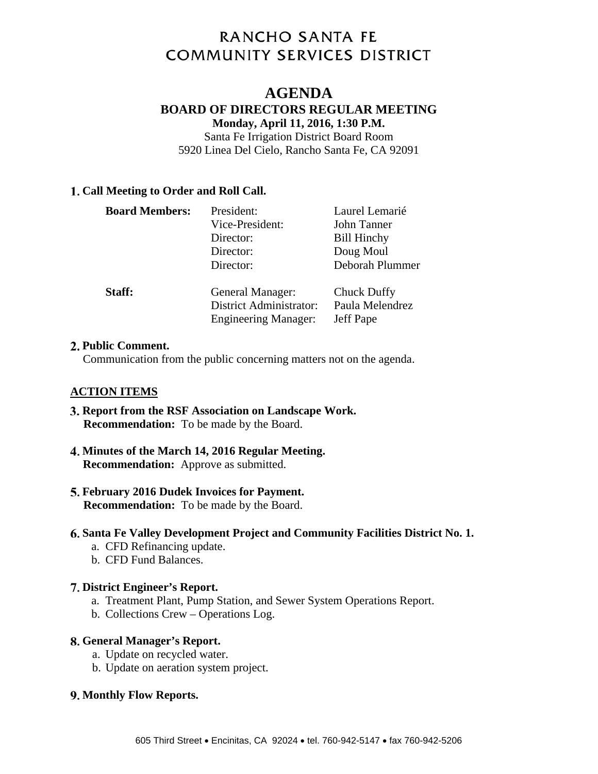# **RANCHO SANTA FE COMMUNITY SERVICES DISTRICT**

# **AGENDA**

# **BOARD OF DIRECTORS REGULAR MEETING**

**Monday, April 11, 2016, 1:30 P.M.**  Santa Fe Irrigation District Board Room 5920 Linea Del Cielo, Rancho Santa Fe, CA 92091

### **Call Meeting to Order and Roll Call.**

| <b>Board Members:</b> | President:<br>Vice-President:<br>Director:<br>Director:<br>Director:              | Laurel Lemarié<br>John Tanner<br><b>Bill Hinchy</b><br>Doug Moul<br>Deborah Plummer |
|-----------------------|-----------------------------------------------------------------------------------|-------------------------------------------------------------------------------------|
| Staff:                | General Manager:<br><b>District Administrator:</b><br><b>Engineering Manager:</b> | Chuck Duffy<br>Paula Melendrez<br>Jeff Pape                                         |

#### **Public Comment.**

Communication from the public concerning matters not on the agenda.

#### **ACTION ITEMS**

- **Report from the RSF Association on Landscape Work. Recommendation:** To be made by the Board.
- **Minutes of the March 14, 2016 Regular Meeting. Recommendation:** Approve as submitted.
- **February 2016 Dudek Invoices for Payment. Recommendation:** To be made by the Board.
- **Santa Fe Valley Development Project and Community Facilities District No. 1.** 
	- a. CFD Refinancing update.
	- b. CFD Fund Balances.

#### **District Engineer's Report.**

- a. Treatment Plant, Pump Station, and Sewer System Operations Report.
- b. Collections Crew Operations Log.

#### **General Manager's Report.**

- a. Update on recycled water.
- b. Update on aeration system project.

#### **Monthly Flow Reports.**